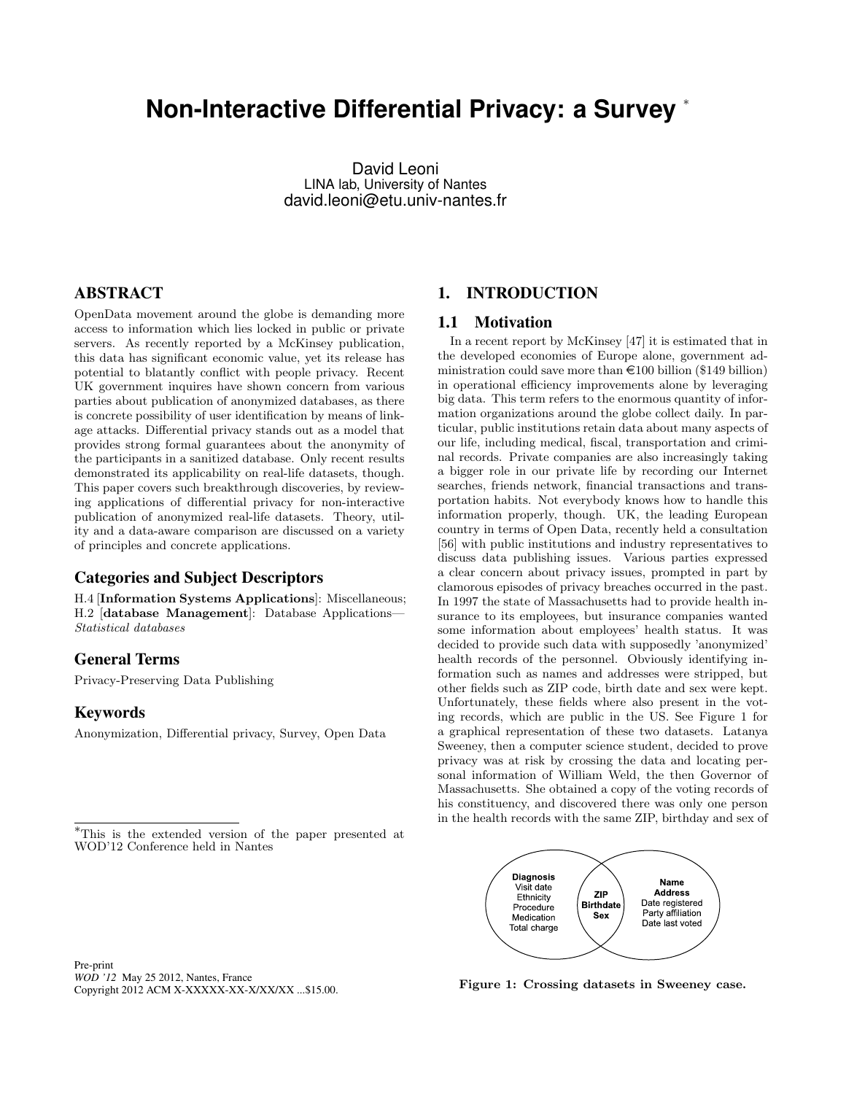# **Non-Interactive Differential Privacy: a Survey** <sup>∗</sup>

David Leoni LINA lab, University of Nantes david.leoni@etu.univ-nantes.fr

# ABSTRACT

OpenData movement around the globe is demanding more access to information which lies locked in public or private servers. As recently reported by a McKinsey publication, this data has significant economic value, yet its release has potential to blatantly conflict with people privacy. Recent UK government inquires have shown concern from various parties about publication of anonymized databases, as there is concrete possibility of user identification by means of linkage attacks. Differential privacy stands out as a model that provides strong formal guarantees about the anonymity of the participants in a sanitized database. Only recent results demonstrated its applicability on real-life datasets, though. This paper covers such breakthrough discoveries, by reviewing applications of differential privacy for non-interactive publication of anonymized real-life datasets. Theory, utility and a data-aware comparison are discussed on a variety of principles and concrete applications.

## Categories and Subject Descriptors

H.4 [Information Systems Applications]: Miscellaneous; H.2 [database Management]: Database Applications— Statistical databases

## General Terms

Privacy-Preserving Data Publishing

## Keywords

Anonymization, Differential privacy, Survey, Open Data

## Pre-print *WOD '12* May 25 2012, Nantes, France

Copyright 2012 ACM X-XXXXX-XX-X/XX/XX ...\$15.00.

## 1. INTRODUCTION

## 1.1 Motivation

In a recent report by McKinsey [47] it is estimated that in the developed economies of Europe alone, government administration could save more than  $\epsilon$ 100 billion (\$149 billion) in operational efficiency improvements alone by leveraging big data. This term refers to the enormous quantity of information organizations around the globe collect daily. In particular, public institutions retain data about many aspects of our life, including medical, fiscal, transportation and criminal records. Private companies are also increasingly taking a bigger role in our private life by recording our Internet searches, friends network, financial transactions and transportation habits. Not everybody knows how to handle this information properly, though. UK, the leading European country in terms of Open Data, recently held a consultation [56] with public institutions and industry representatives to discuss data publishing issues. Various parties expressed a clear concern about privacy issues, prompted in part by clamorous episodes of privacy breaches occurred in the past. In 1997 the state of Massachusetts had to provide health insurance to its employees, but insurance companies wanted some information about employees' health status. It was decided to provide such data with supposedly 'anonymized' health records of the personnel. Obviously identifying information such as names and addresses were stripped, but other fields such as ZIP code, birth date and sex were kept. Unfortunately, these fields where also present in the voting records, which are public in the US. See Figure 1 for a graphical representation of these two datasets. Latanya Sweeney, then a computer science student, decided to prove privacy was at risk by crossing the data and locating personal information of William Weld, the then Governor of Massachusetts. She obtained a copy of the voting records of his constituency, and discovered there was only one person in the health records with the same ZIP, birthday and sex of



Figure 1: Crossing datasets in Sweeney case.

<sup>∗</sup>This is the extended version of the paper presented at WOD'12 Conference held in Nantes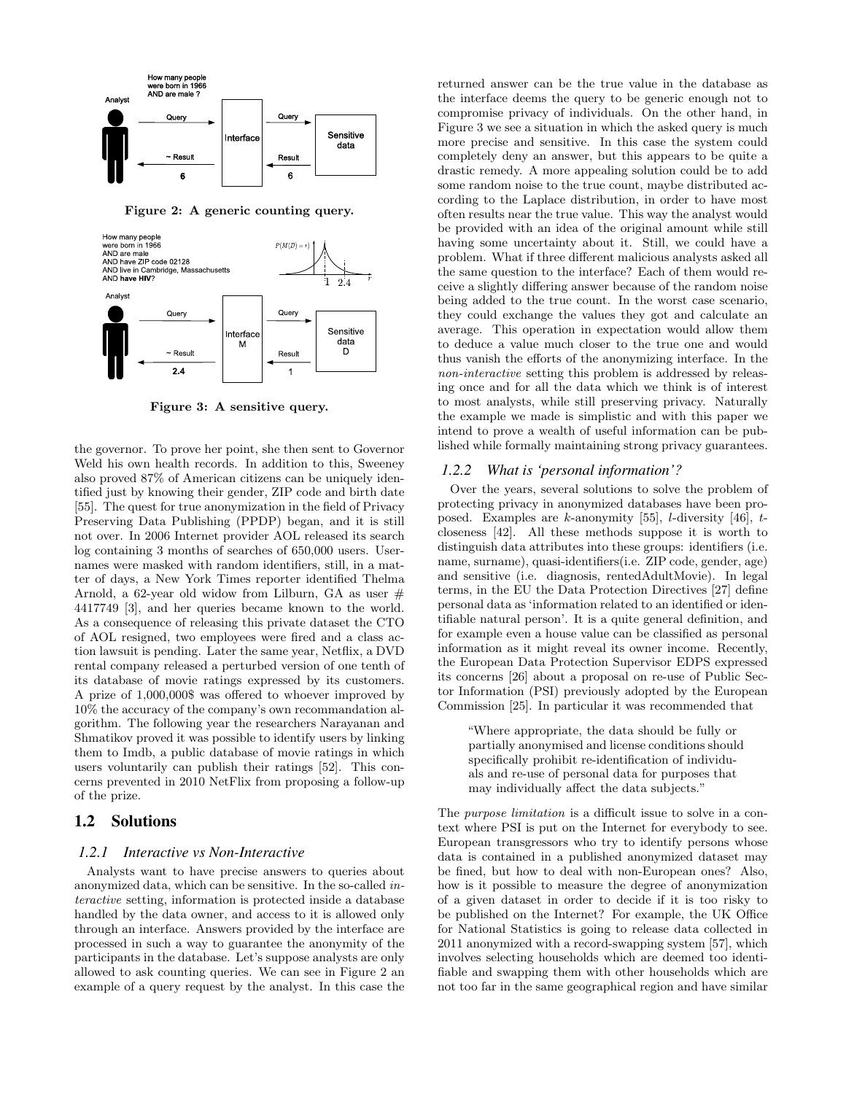

Figure 2: A generic counting query.



Figure 3: A sensitive query.

the governor. To prove her point, she then sent to Governor Weld his own health records. In addition to this, Sweeney also proved 87% of American citizens can be uniquely identified just by knowing their gender, ZIP code and birth date [55]. The quest for true anonymization in the field of Privacy Preserving Data Publishing (PPDP) began, and it is still not over. In 2006 Internet provider AOL released its search log containing 3 months of searches of 650,000 users. Usernames were masked with random identifiers, still, in a matter of days, a New York Times reporter identified Thelma Arnold, a 62-year old widow from Lilburn, GA as user  $#$ 4417749 [3], and her queries became known to the world. As a consequence of releasing this private dataset the CTO of AOL resigned, two employees were fired and a class action lawsuit is pending. Later the same year, Netflix, a DVD rental company released a perturbed version of one tenth of its database of movie ratings expressed by its customers. A prize of 1,000,000\$ was offered to whoever improved by 10% the accuracy of the company's own recommandation algorithm. The following year the researchers Narayanan and Shmatikov proved it was possible to identify users by linking them to Imdb, a public database of movie ratings in which users voluntarily can publish their ratings [52]. This concerns prevented in 2010 NetFlix from proposing a follow-up of the prize.

## 1.2 Solutions

#### *1.2.1 Interactive vs Non-Interactive*

Analysts want to have precise answers to queries about anonymized data, which can be sensitive. In the so-called interactive setting, information is protected inside a database handled by the data owner, and access to it is allowed only through an interface. Answers provided by the interface are processed in such a way to guarantee the anonymity of the participants in the database. Let's suppose analysts are only allowed to ask counting queries. We can see in Figure 2 an example of a query request by the analyst. In this case the returned answer can be the true value in the database as the interface deems the query to be generic enough not to compromise privacy of individuals. On the other hand, in Figure 3 we see a situation in which the asked query is much more precise and sensitive. In this case the system could completely deny an answer, but this appears to be quite a drastic remedy. A more appealing solution could be to add some random noise to the true count, maybe distributed according to the Laplace distribution, in order to have most often results near the true value. This way the analyst would be provided with an idea of the original amount while still having some uncertainty about it. Still, we could have a problem. What if three different malicious analysts asked all the same question to the interface? Each of them would receive a slightly differing answer because of the random noise being added to the true count. In the worst case scenario, they could exchange the values they got and calculate an average. This operation in expectation would allow them to deduce a value much closer to the true one and would thus vanish the efforts of the anonymizing interface. In the non-interactive setting this problem is addressed by releasing once and for all the data which we think is of interest to most analysts, while still preserving privacy. Naturally the example we made is simplistic and with this paper we intend to prove a wealth of useful information can be published while formally maintaining strong privacy guarantees.

#### *1.2.2 What is 'personal information'?*

Over the years, several solutions to solve the problem of protecting privacy in anonymized databases have been proposed. Examples are k-anonymity [55], l-diversity [46], tcloseness [42]. All these methods suppose it is worth to distinguish data attributes into these groups: identifiers (i.e. name, surname), quasi-identifiers(i.e. ZIP code, gender, age) and sensitive (i.e. diagnosis, rentedAdultMovie). In legal terms, in the EU the Data Protection Directives [27] define personal data as 'information related to an identified or identifiable natural person'. It is a quite general definition, and for example even a house value can be classified as personal information as it might reveal its owner income. Recently, the European Data Protection Supervisor EDPS expressed its concerns [26] about a proposal on re-use of Public Sector Information (PSI) previously adopted by the European Commission [25]. In particular it was recommended that

"Where appropriate, the data should be fully or partially anonymised and license conditions should specifically prohibit re-identification of individuals and re-use of personal data for purposes that may individually affect the data subjects."

The *purpose limitation* is a difficult issue to solve in a context where PSI is put on the Internet for everybody to see. European transgressors who try to identify persons whose data is contained in a published anonymized dataset may be fined, but how to deal with non-European ones? Also, how is it possible to measure the degree of anonymization of a given dataset in order to decide if it is too risky to be published on the Internet? For example, the UK Office for National Statistics is going to release data collected in 2011 anonymized with a record-swapping system [57], which involves selecting households which are deemed too identifiable and swapping them with other households which are not too far in the same geographical region and have similar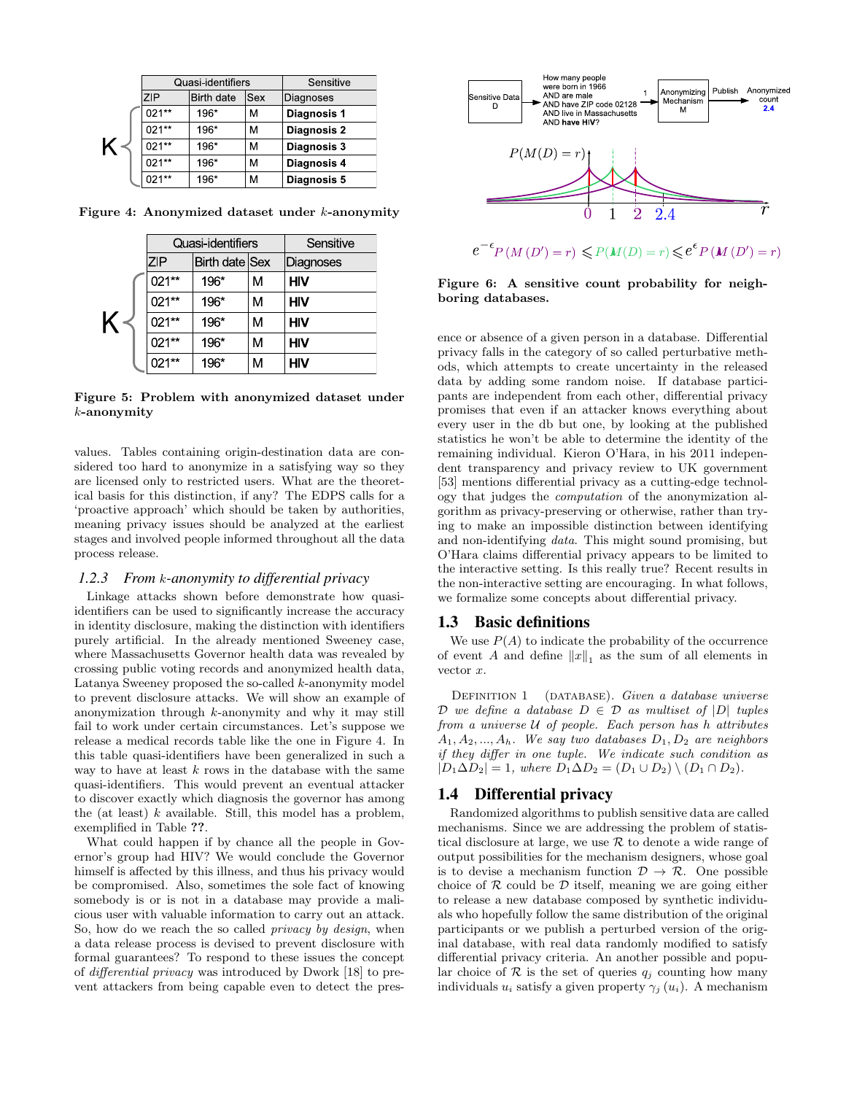|  |         | Quasi-identifiers | Sensitive |                    |
|--|---------|-------------------|-----------|--------------------|
|  | ZP      | <b>Birth date</b> | Sex       | Diagnoses          |
|  | $021**$ | 196*              | M         | Diagnosis 1        |
|  | $021**$ | 196*              | М         | <b>Diagnosis 2</b> |
|  | $021**$ | 196*              | M         | Diagnosis 3        |
|  | $021**$ | 196*              | M         | Diagnosis 4        |
|  | $021**$ | 196*              | М         | Diagnosis 5        |

Figure 4: Anonymized dataset under  $k$ -anonymity

|  |            | Quasi-identifiers |   | Sensitive |
|--|------------|-------------------|---|-----------|
|  | <b>ZIP</b> | Birth date Sex    |   | Diagnoses |
|  | 021**      | 196*              | М | HIV       |
|  | $021**$    | 196*              | М | НIV       |
|  | $021**$    | 196*              | М | HIV       |
|  | $021**$    | 196*              | М | НIV       |
|  | 021**      | 196*              | м | HIV       |

Figure 5: Problem with anonymized dataset under  $k$ -anonymity

values. Tables containing origin-destination data are considered too hard to anonymize in a satisfying way so they are licensed only to restricted users. What are the theoretical basis for this distinction, if any? The EDPS calls for a 'proactive approach' which should be taken by authorities, meaning privacy issues should be analyzed at the earliest stages and involved people informed throughout all the data process release.

#### *1.2.3 From* k*-anonymity to differential privacy*

Linkage attacks shown before demonstrate how quasiidentifiers can be used to significantly increase the accuracy in identity disclosure, making the distinction with identifiers purely artificial. In the already mentioned Sweeney case, where Massachusetts Governor health data was revealed by crossing public voting records and anonymized health data, Latanya Sweeney proposed the so-called  $k$ -anonymity model to prevent disclosure attacks. We will show an example of anonymization through k-anonymity and why it may still fail to work under certain circumstances. Let's suppose we release a medical records table like the one in Figure 4. In this table quasi-identifiers have been generalized in such a way to have at least  $k$  rows in the database with the same quasi-identifiers. This would prevent an eventual attacker to discover exactly which diagnosis the governor has among the (at least)  $k$  available. Still, this model has a problem, exemplified in Table ??.

What could happen if by chance all the people in Governor's group had HIV? We would conclude the Governor himself is affected by this illness, and thus his privacy would be compromised. Also, sometimes the sole fact of knowing somebody is or is not in a database may provide a malicious user with valuable information to carry out an attack. So, how do we reach the so called *privacy* by *design*, when a data release process is devised to prevent disclosure with formal guarantees? To respond to these issues the concept of differential privacy was introduced by Dwork [18] to prevent attackers from being capable even to detect the pres-



Figure 6: A sensitive count probability for neighboring databases.

ence or absence of a given person in a database. Differential privacy falls in the category of so called perturbative methods, which attempts to create uncertainty in the released data by adding some random noise. If database participants are independent from each other, differential privacy promises that even if an attacker knows everything about every user in the db but one, by looking at the published statistics he won't be able to determine the identity of the remaining individual. Kieron O'Hara, in his 2011 independent transparency and privacy review to UK government [53] mentions differential privacy as a cutting-edge technology that judges the computation of the anonymization algorithm as privacy-preserving or otherwise, rather than trying to make an impossible distinction between identifying and non-identifying data. This might sound promising, but O'Hara claims differential privacy appears to be limited to the interactive setting. Is this really true? Recent results in the non-interactive setting are encouraging. In what follows, we formalize some concepts about differential privacy.

#### 1.3 Basic definitions

We use  $P(A)$  to indicate the probability of the occurrence of event A and define  $||x||_1$  as the sum of all elements in vector x.

DEFINITION 1 (DATABASE). Given a database universe D we define a database  $D \in \mathcal{D}$  as multiset of  $|D|$  tuples from a universe  $U$  of people. Each person has h attributes  $A_1, A_2, ..., A_h$ . We say two databases  $D_1, D_2$  are neighbors if they differ in one tuple. We indicate such condition as  $|D_1\Delta D_2|=1$ , where  $D_1\Delta D_2=(D_1\cup D_2)\setminus (D_1\cap D_2)$ .

## 1.4 Differential privacy

Randomized algorithms to publish sensitive data are called mechanisms. Since we are addressing the problem of statistical disclosure at large, we use  $R$  to denote a wide range of output possibilities for the mechanism designers, whose goal is to devise a mechanism function  $\mathcal{D} \to \mathcal{R}$ . One possible choice of  $\mathcal R$  could be  $\mathcal D$  itself, meaning we are going either to release a new database composed by synthetic individuals who hopefully follow the same distribution of the original participants or we publish a perturbed version of the original database, with real data randomly modified to satisfy differential privacy criteria. An another possible and popular choice of  $R$  is the set of queries  $q_j$  counting how many individuals  $u_i$  satisfy a given property  $\gamma_j(u_i)$ . A mechanism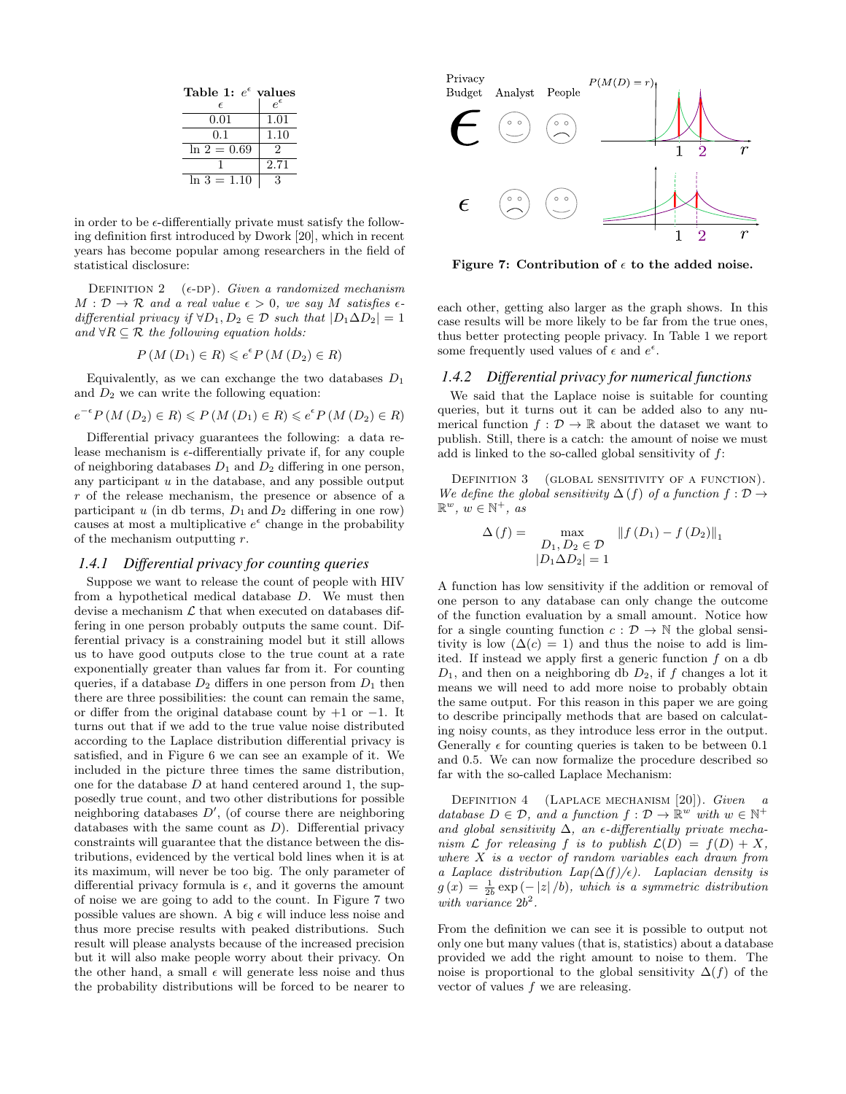| Table 1: $e^{\epsilon}$ values |                |
|--------------------------------|----------------|
| F                              | $e^{\epsilon}$ |
| 0.01                           | 1.01           |
| 0.1                            | 1.10           |
| $\ln 2 = 0.69$                 | 2              |
|                                | 2.71           |
| $\ln 3 = 1.10$                 |                |

in order to be  $\epsilon$ -differentially private must satisfy the following definition first introduced by Dwork [20], which in recent years has become popular among researchers in the field of statistical disclosure:

DEFINITION 2 ( $\epsilon$ -DP). Given a randomized mechanism  $M: \mathcal{D} \to \mathcal{R}$  and a real value  $\epsilon > 0$ , we say M satisfies  $\epsilon$ differential privacy if  $\forall D_1, D_2 \in \mathcal{D}$  such that  $|D_1 \Delta D_2| = 1$ and  $\forall R \subseteq \mathcal{R}$  the following equation holds:

$$
P\left(M\left(D_{1}\right)\in R\right)\leqslant e^{\epsilon}P\left(M\left(D_{2}\right)\in R\right)
$$

Equivalently, as we can exchange the two databases  $D_1$ and  $D_2$  we can write the following equation:

 $e^{-\epsilon} P(M (D_2) \in R) \leq P(M (D_1) \in R) \leq e^{\epsilon} P(M (D_2) \in R)$ 

Differential privacy guarantees the following: a data release mechanism is  $\epsilon$ -differentially private if, for any couple of neighboring databases  $D_1$  and  $D_2$  differing in one person, any participant  $u$  in the database, and any possible output r of the release mechanism, the presence or absence of a participant u (in db terms,  $D_1$  and  $D_2$  differing in one row) causes at most a multiplicative  $e^{\epsilon}$  change in the probability of the mechanism outputting r.

#### *1.4.1 Differential privacy for counting queries*

Suppose we want to release the count of people with HIV from a hypothetical medical database D. We must then devise a mechanism  $\mathcal L$  that when executed on databases differing in one person probably outputs the same count. Differential privacy is a constraining model but it still allows us to have good outputs close to the true count at a rate exponentially greater than values far from it. For counting queries, if a database  $D_2$  differs in one person from  $D_1$  then there are three possibilities: the count can remain the same, or differ from the original database count by  $+1$  or  $-1$ . It turns out that if we add to the true value noise distributed according to the Laplace distribution differential privacy is satisfied, and in Figure 6 we can see an example of it. We included in the picture three times the same distribution, one for the database  $D$  at hand centered around 1, the supposedly true count, and two other distributions for possible neighboring databases  $D'$ , (of course there are neighboring databases with the same count as  $D$ ). Differential privacy constraints will guarantee that the distance between the distributions, evidenced by the vertical bold lines when it is at its maximum, will never be too big. The only parameter of differential privacy formula is  $\epsilon$ , and it governs the amount of noise we are going to add to the count. In Figure 7 two possible values are shown. A big  $\epsilon$  will induce less noise and thus more precise results with peaked distributions. Such result will please analysts because of the increased precision but it will also make people worry about their privacy. On the other hand, a small  $\epsilon$  will generate less noise and thus the probability distributions will be forced to be nearer to



Figure 7: Contribution of  $\epsilon$  to the added noise.

each other, getting also larger as the graph shows. In this case results will be more likely to be far from the true ones, thus better protecting people privacy. In Table 1 we report some frequently used values of  $\epsilon$  and  $e^{\epsilon}$ .

#### *1.4.2 Differential privacy for numerical functions*

We said that the Laplace noise is suitable for counting queries, but it turns out it can be added also to any numerical function  $f: \mathcal{D} \to \mathbb{R}$  about the dataset we want to publish. Still, there is a catch: the amount of noise we must add is linked to the so-called global sensitivity of  $f$ :

DEFINITION 3 (GLOBAL SENSITIVITY OF A FUNCTION). We define the global sensitivity  $\Delta(f)$  of a function  $f : \mathcal{D} \to$  $\mathbb{R}^w, w \in \mathbb{N}^+, as$ 

$$
\Delta(f) = \max_{\begin{array}{l}D_1, D_2 \in \mathcal{D} \\ |D_1 \Delta D_2| = 1\end{array}} ||f(D_1) - f(D_2)||_1
$$

A function has low sensitivity if the addition or removal of one person to any database can only change the outcome of the function evaluation by a small amount. Notice how for a single counting function  $c : \mathcal{D} \to \mathbb{N}$  the global sensitivity is low  $(\Delta(c) = 1)$  and thus the noise to add is limited. If instead we apply first a generic function  $f$  on a db  $D_1$ , and then on a neighboring db  $D_2$ , if f changes a lot it means we will need to add more noise to probably obtain the same output. For this reason in this paper we are going to describe principally methods that are based on calculating noisy counts, as they introduce less error in the output. Generally  $\epsilon$  for counting queries is taken to be between 0.1 and 0.5. We can now formalize the procedure described so far with the so-called Laplace Mechanism:

DEFINITION  $4$  (LAPLACE MECHANISM [20]). Given a database  $D \in \mathcal{D}$ , and a function  $f: \mathcal{D} \to \mathbb{R}^w$  with  $w \in \mathbb{N}^+$ and global sensitivity  $\Delta$ , an  $\epsilon$ -differentially private mechanism  $\mathcal L$  for releasing f is to publish  $\mathcal L(D) = f(D) + X$ , where  $X$  is a vector of random variables each drawn from a Laplace distribution  $Lap(\Delta(f)/\epsilon)$ . Laplacian density is  $g(x) = \frac{1}{2b} \exp(-|z|/b)$ , which is a symmetric distribution with variance  $2b^2$ .

From the definition we can see it is possible to output not only one but many values (that is, statistics) about a database provided we add the right amount to noise to them. The noise is proportional to the global sensitivity  $\Delta(f)$  of the vector of values  $f$  we are releasing.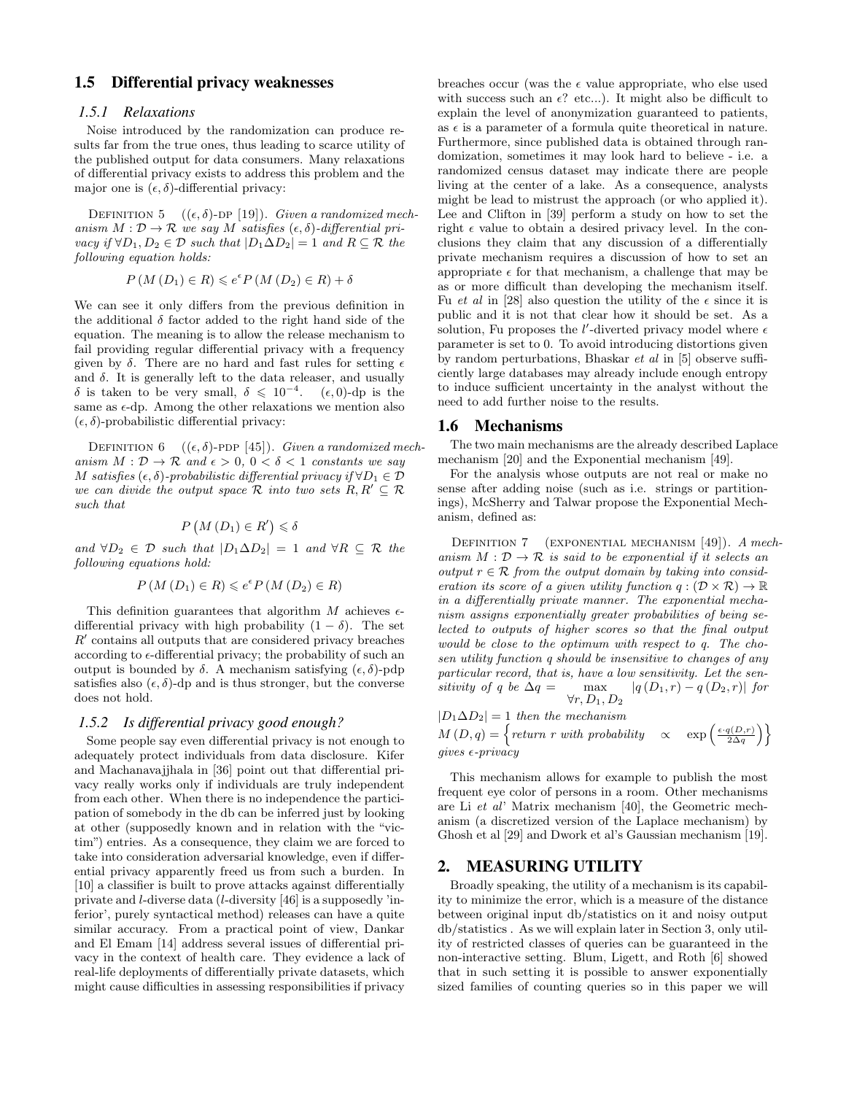## 1.5 Differential privacy weaknesses

#### *1.5.1 Relaxations*

Noise introduced by the randomization can produce results far from the true ones, thus leading to scarce utility of the published output for data consumers. Many relaxations of differential privacy exists to address this problem and the major one is  $(\epsilon, \delta)$ -differential privacy:

DEFINITION 5  $((\epsilon, \delta)$ -DP [19]). Given a randomized mechanism  $M : \mathcal{D} \to \mathcal{R}$  we say M satisfies  $(\epsilon, \delta)$ -differential privacy if  $\forall D_1, D_2 \in \mathcal{D}$  such that  $|D_1 \Delta D_2| = 1$  and  $R \subseteq \mathcal{R}$  the following equation holds:

$$
P(M(D_1) \in R) \leqslant e^{\epsilon} P(M(D_2) \in R) + \delta
$$

We can see it only differs from the previous definition in the additional  $\delta$  factor added to the right hand side of the equation. The meaning is to allow the release mechanism to fail providing regular differential privacy with a frequency given by  $\delta$ . There are no hard and fast rules for setting  $\epsilon$ and  $\delta$ . It is generally left to the data releaser, and usually δ is taken to be very small,  $\delta \le 10^{-4}$ . (ε, 0)-dp is the same as  $\epsilon$ -dp. Among the other relaxations we mention also  $(\epsilon, \delta)$ -probabilistic differential privacy:

DEFINITION 6  $((\epsilon, \delta)$ -PDP [45]). Given a randomized mechanism  $M: \mathcal{D} \to \mathcal{R}$  and  $\epsilon > 0$ ,  $0 < \delta < 1$  constants we say M satisfies  $(\epsilon, \delta)$ -probabilistic differential privacy if  $\forall D_1 \in \mathcal{D}$ we can divide the output space R into two sets  $R, R' \subseteq \mathcal{R}$ such that

$$
P\left(M\left(D_{1}\right)\in R'\right)\leqslant\delta
$$

and  $\forall D_2 \in \mathcal{D}$  such that  $|D_1 \Delta D_2| = 1$  and  $\forall R \subseteq \mathcal{R}$  the following equations hold:

$$
P\left(M\left(D_{1}\right)\in R\right)\leqslant e^{\epsilon}P\left(M\left(D_{2}\right)\in R\right)
$$

This definition guarantees that algorithm M achieves  $\epsilon$ differential privacy with high probability  $(1 - \delta)$ . The set  $R'$  contains all outputs that are considered privacy breaches according to  $\epsilon$ -differential privacy; the probability of such an output is bounded by δ. A mechanism satisfying  $(ε, δ)$ -pdp satisfies also  $(\epsilon, \delta)$ -dp and is thus stronger, but the converse does not hold.

#### *1.5.2 Is differential privacy good enough?*

Some people say even differential privacy is not enough to adequately protect individuals from data disclosure. Kifer and Machanavajjhala in [36] point out that differential privacy really works only if individuals are truly independent from each other. When there is no independence the participation of somebody in the db can be inferred just by looking at other (supposedly known and in relation with the "victim") entries. As a consequence, they claim we are forced to take into consideration adversarial knowledge, even if differential privacy apparently freed us from such a burden. In [10] a classifier is built to prove attacks against differentially private and l-diverse data (l-diversity [46] is a supposedly 'inferior', purely syntactical method) releases can have a quite similar accuracy. From a practical point of view, Dankar and El Emam [14] address several issues of differential privacy in the context of health care. They evidence a lack of real-life deployments of differentially private datasets, which might cause difficulties in assessing responsibilities if privacy

breaches occur (was the  $\epsilon$  value appropriate, who else used with success such an  $\epsilon$ ? etc...). It might also be difficult to explain the level of anonymization guaranteed to patients, as  $\epsilon$  is a parameter of a formula quite theoretical in nature. Furthermore, since published data is obtained through randomization, sometimes it may look hard to believe - i.e. a randomized census dataset may indicate there are people living at the center of a lake. As a consequence, analysts might be lead to mistrust the approach (or who applied it). Lee and Clifton in [39] perform a study on how to set the right  $\epsilon$  value to obtain a desired privacy level. In the conclusions they claim that any discussion of a differentially private mechanism requires a discussion of how to set an appropriate  $\epsilon$  for that mechanism, a challenge that may be as or more difficult than developing the mechanism itself. Fu et al in [28] also question the utility of the  $\epsilon$  since it is public and it is not that clear how it should be set. As a solution, Fu proposes the  $l'$ -diverted privacy model where  $\epsilon$ parameter is set to 0. To avoid introducing distortions given by random perturbations, Bhaskar et al in [5] observe sufficiently large databases may already include enough entropy to induce sufficient uncertainty in the analyst without the need to add further noise to the results.

#### 1.6 Mechanisms

The two main mechanisms are the already described Laplace mechanism [20] and the Exponential mechanism [49].

For the analysis whose outputs are not real or make no sense after adding noise (such as i.e. strings or partitionings), McSherry and Talwar propose the Exponential Mechanism, defined as:

DEFINITION 7 (EXPONENTIAL MECHANISM [49]). A mechanism  $M : \mathcal{D} \to \mathcal{R}$  is said to be exponential if it selects an output  $r \in \mathcal{R}$  from the output domain by taking into consideration its score of a given utility function  $q: (\mathcal{D} \times \mathcal{R}) \to \mathbb{R}$ in a differentially private manner. The exponential mechanism assigns exponentially greater probabilities of being selected to outputs of higher scores so that the final output would be close to the optimum with respect to q. The chosen utility function q should be insensitive to changes of any particular record, that is, have a low sensitivity. Let the sensitivity of q be  $\Delta q =$  max  $\forall r, D_1, D_2$  $|q(D_1,r) - q(D_2,r)|$  for  $|D_0 \Delta D_2| = 1$  then the mechanism

$$
|D_1 \Delta D_2| = 1 \text{ then the mechanism}
$$
  

$$
M(D,q) = \left\{ return \ r \ \text{with probability} \quad \propto \quad \exp\left(\frac{\epsilon \cdot q(D,r)}{2\Delta q}\right) \right\}
$$
  
gives  $\epsilon$ -privacy

This mechanism allows for example to publish the most frequent eye color of persons in a room. Other mechanisms are Li et al' Matrix mechanism [40], the Geometric mechanism (a discretized version of the Laplace mechanism) by Ghosh et al [29] and Dwork et al's Gaussian mechanism [19].

## 2. MEASURING UTILITY

Broadly speaking, the utility of a mechanism is its capability to minimize the error, which is a measure of the distance between original input db/statistics on it and noisy output db/statistics . As we will explain later in Section 3, only utility of restricted classes of queries can be guaranteed in the non-interactive setting. Blum, Ligett, and Roth [6] showed that in such setting it is possible to answer exponentially sized families of counting queries so in this paper we will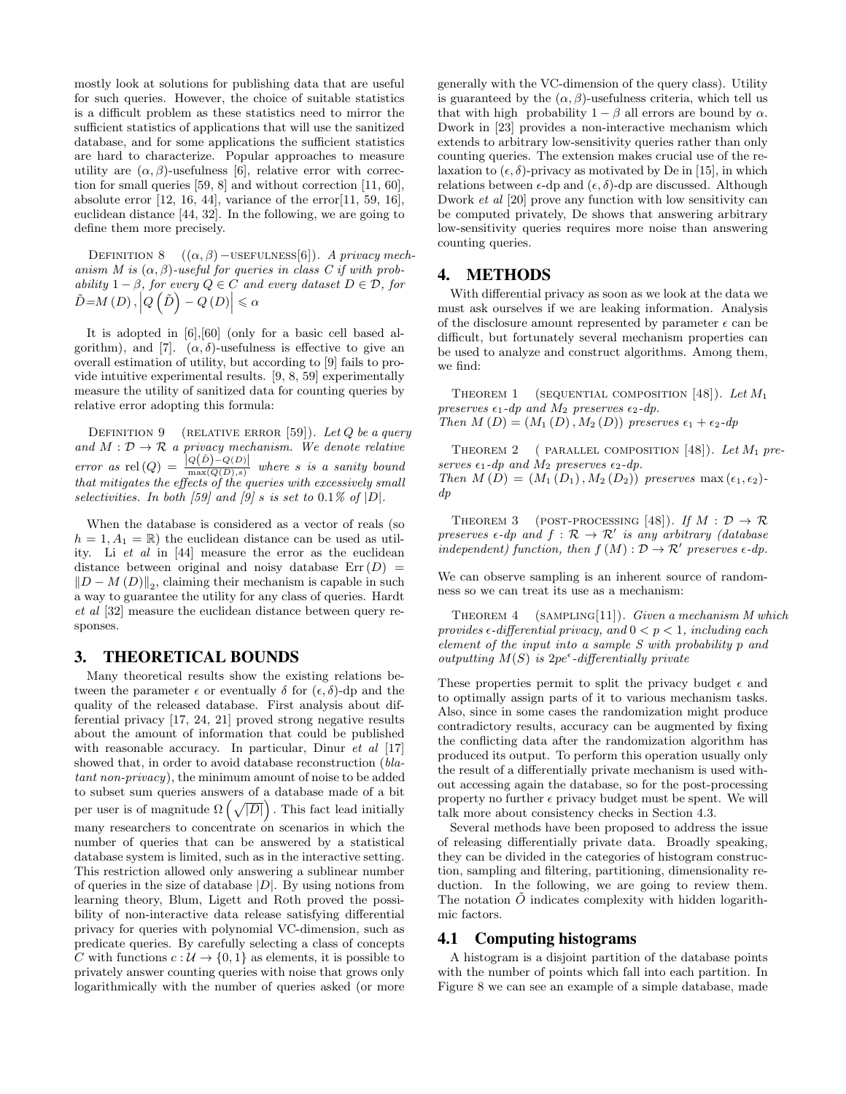mostly look at solutions for publishing data that are useful for such queries. However, the choice of suitable statistics is a difficult problem as these statistics need to mirror the sufficient statistics of applications that will use the sanitized database, and for some applications the sufficient statistics are hard to characterize. Popular approaches to measure utility are  $(\alpha, \beta)$ -usefulness [6], relative error with correction for small queries [59, 8] and without correction [11, 60], absolute error  $[12, 16, 44]$ , variance of the error $[11, 59, 16]$ , euclidean distance [44, 32]. In the following, we are going to define them more precisely.

DEFINITION 8  $((\alpha, \beta)$  –USEFULNESS[6]). A privacy mechanism M is  $(\alpha, \beta)$ -useful for queries in class C if with probability  $1 - \beta$ , for every  $Q \in C$  and every dataset  $D \in \mathcal{D}$ , for  $\tilde{D}=M(D), |\mathcal{Q}(\tilde{D})-\mathcal{Q}(D)| \leq \alpha$ 

It is adopted in [6],[60] (only for a basic cell based algorithm), and [7].  $(\alpha, \delta)$ -usefulness is effective to give an overall estimation of utility, but according to [9] fails to provide intuitive experimental results. [9, 8, 59] experimentally measure the utility of sanitized data for counting queries by relative error adopting this formula:

DEFINITION 9 (RELATIVE ERROR [59]). Let  $Q$  be a query and  $M: \mathcal{D} \to \mathcal{R}$  a privacy mechanism. We denote relative error as rel  $(Q) = \frac{|Q(\tilde{D}) - Q(D)|}{\max(Q(D), s)}$  where s is a sanity bound error as  $\text{ter}(\mathcal{Q}) = \frac{\text{max}(Q(D), s)}{\text{max}(Q(D), s)}$  where s is a santity ovariate that mitigates the effects of the queries with excessively small selectivities. In both [59] and [9] s is set to  $0.1\%$  of  $|D|$ .

When the database is considered as a vector of reals (so  $h = 1, A_1 = \mathbb{R}$  the euclidean distance can be used as utility. Li et al in [44] measure the error as the euclidean distance between original and noisy database  $Err(D)$  =  $||D - M(D)||_2$ , claiming their mechanism is capable in such a way to guarantee the utility for any class of queries. Hardt et al [32] measure the euclidean distance between query responses.

## 3. THEORETICAL BOUNDS

Many theoretical results show the existing relations between the parameter  $\epsilon$  or eventually  $\delta$  for  $(\epsilon, \delta)$ -dp and the quality of the released database. First analysis about differential privacy [17, 24, 21] proved strong negative results about the amount of information that could be published with reasonable accuracy. In particular, Dinur et al [17] showed that, in order to avoid database reconstruction (blatant non-privacy), the minimum amount of noise to be added to subset sum queries answers of a database made of a bit per user is of magnitude  $\Omega\left(\sqrt{|D|}\right)$ . This fact lead initially many researchers to concentrate on scenarios in which the number of queries that can be answered by a statistical database system is limited, such as in the interactive setting. This restriction allowed only answering a sublinear number of queries in the size of database  $|D|$ . By using notions from learning theory, Blum, Ligett and Roth proved the possibility of non-interactive data release satisfying differential privacy for queries with polynomial VC-dimension, such as predicate queries. By carefully selecting a class of concepts C with functions  $c : U \to \{0,1\}$  as elements, it is possible to privately answer counting queries with noise that grows only logarithmically with the number of queries asked (or more

generally with the VC-dimension of the query class). Utility is guaranteed by the  $(\alpha, \beta)$ -usefulness criteria, which tell us that with high probability  $1 - \beta$  all errors are bound by  $\alpha$ . Dwork in [23] provides a non-interactive mechanism which extends to arbitrary low-sensitivity queries rather than only counting queries. The extension makes crucial use of the relaxation to  $(\epsilon, \delta)$ -privacy as motivated by De in [15], in which relations between  $\epsilon$ -dp and  $(\epsilon, \delta)$ -dp are discussed. Although Dwork et al [20] prove any function with low sensitivity can be computed privately, De shows that answering arbitrary low-sensitivity queries requires more noise than answering counting queries.

## 4. METHODS

With differential privacy as soon as we look at the data we must ask ourselves if we are leaking information. Analysis of the disclosure amount represented by parameter  $\epsilon$  can be difficult, but fortunately several mechanism properties can be used to analyze and construct algorithms. Among them, we find:

THEOREM 1 (SEQUENTIAL COMPOSITION [48]). Let  $M_1$ preserves  $\epsilon_1$ -dp and  $M_2$  preserves  $\epsilon_2$ -dp. Then  $M(D) = (M_1(D), M_2(D))$  preserves  $\epsilon_1 + \epsilon_2$ -dp

THEOREM 2 (PARALLEL COMPOSITION [48]). Let  $M_1$  preserves  $\epsilon_1$ -dp and  $M_2$  preserves  $\epsilon_2$ -dp. Then  $M(D) = (M_1(D_1), M_2(D_2))$  preserves max $(\epsilon_1, \epsilon_2)$ dp

THEOREM 3 (POST-PROCESSING [48]). If  $M : \mathcal{D} \to \mathcal{R}$ preserves  $\epsilon$ -dp and  $f : \mathcal{R} \to \mathcal{R}'$  is any arbitrary (database independent) function, then  $f(M): \mathcal{D} \to \mathcal{R}'$  preserves  $\epsilon$ -dp.

We can observe sampling is an inherent source of randomness so we can treat its use as a mechanism:

THEOREM  $4$  (SAMPLING[11]). Given a mechanism M which provides  $\epsilon$ -differential privacy, and  $0 < p < 1$ , including each element of the input into a sample S with probability p and outputting  $M(S)$  is  $2pe^{\epsilon}$ -differentially private

These properties permit to split the privacy budget  $\epsilon$  and to optimally assign parts of it to various mechanism tasks. Also, since in some cases the randomization might produce contradictory results, accuracy can be augmented by fixing the conflicting data after the randomization algorithm has produced its output. To perform this operation usually only the result of a differentially private mechanism is used without accessing again the database, so for the post-processing property no further  $\epsilon$  privacy budget must be spent. We will talk more about consistency checks in Section 4.3.

Several methods have been proposed to address the issue of releasing differentially private data. Broadly speaking, they can be divided in the categories of histogram construction, sampling and filtering, partitioning, dimensionality reduction. In the following, we are going to review them. The notation  $O$  indicates complexity with hidden logarithmic factors.

## 4.1 Computing histograms

A histogram is a disjoint partition of the database points with the number of points which fall into each partition. In Figure 8 we can see an example of a simple database, made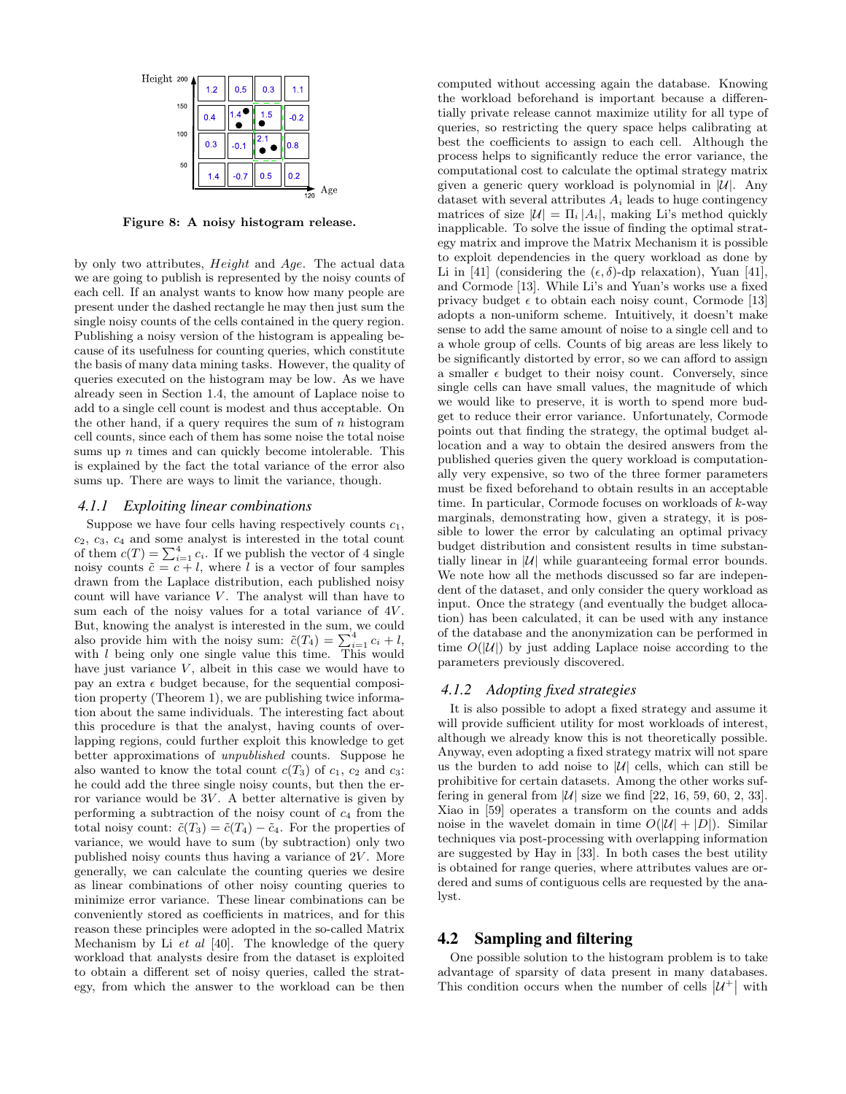

Figure 8: A noisy histogram release.

by only two attributes, Height and Age. The actual data we are going to publish is represented by the noisy counts of each cell. If an analyst wants to know how many people are present under the dashed rectangle he may then just sum the single noisy counts of the cells contained in the query region. Publishing a noisy version of the histogram is appealing because of its usefulness for counting queries, which constitute the basis of many data mining tasks. However, the quality of queries executed on the histogram may be low. As we have already seen in Section 1.4, the amount of Laplace noise to add to a single cell count is modest and thus acceptable. On the other hand, if a query requires the sum of  $n$  histogram cell counts, since each of them has some noise the total noise sums up  $n$  times and can quickly become intolerable. This is explained by the fact the total variance of the error also sums up. There are ways to limit the variance, though.

#### *4.1.1 Exploiting linear combinations*

Suppose we have four cells having respectively counts  $c_1$ ,  $c_2, c_3, c_4$  and some analyst is interested in the total count of them  $c(T) = \sum_{i=1}^{4} c_i$ . If we publish the vector of 4 single noisy counts  $\tilde{c} = c + l$ , where l is a vector of four samples drawn from the Laplace distribution, each published noisy count will have variance  $V$ . The analyst will than have to sum each of the noisy values for a total variance of  $4V$ . But, knowing the analyst is interested in the sum, we could also provide him with the noisy sum:  $\tilde{c}(T_4) = \sum_{i=1}^4 c_i + l$ , with  $l$  being only one single value this time. This would have just variance  $V$ , albeit in this case we would have to pay an extra  $\epsilon$  budget because, for the sequential composition property (Theorem 1), we are publishing twice information about the same individuals. The interesting fact about this procedure is that the analyst, having counts of overlapping regions, could further exploit this knowledge to get better approximations of unpublished counts. Suppose he also wanted to know the total count  $c(T_3)$  of  $c_1$ ,  $c_2$  and  $c_3$ : he could add the three single noisy counts, but then the error variance would be  $3V$ . A better alternative is given by performing a subtraction of the noisy count of  $c_4$  from the total noisy count:  $\tilde{c}(T_3) = \tilde{c}(T_4) - \tilde{c}_4$ . For the properties of variance, we would have to sum (by subtraction) only two published noisy counts thus having a variance of  $2V$ . More generally, we can calculate the counting queries we desire as linear combinations of other noisy counting queries to minimize error variance. These linear combinations can be conveniently stored as coefficients in matrices, and for this reason these principles were adopted in the so-called Matrix Mechanism by Li  $et \ al \ [40]$ . The knowledge of the query workload that analysts desire from the dataset is exploited to obtain a different set of noisy queries, called the strategy, from which the answer to the workload can be then computed without accessing again the database. Knowing the workload beforehand is important because a differentially private release cannot maximize utility for all type of queries, so restricting the query space helps calibrating at best the coefficients to assign to each cell. Although the process helps to significantly reduce the error variance, the computational cost to calculate the optimal strategy matrix given a generic query workload is polynomial in  $|\mathcal{U}|$ . Any dataset with several attributes  $A_i$  leads to huge contingency matrices of size  $|\mathcal{U}| = \prod_i |A_i|$ , making Li's method quickly inapplicable. To solve the issue of finding the optimal strategy matrix and improve the Matrix Mechanism it is possible to exploit dependencies in the query workload as done by Li in [41] (considering the  $(\epsilon, \delta)$ -dp relaxation), Yuan [41], and Cormode [13]. While Li's and Yuan's works use a fixed privacy budget  $\epsilon$  to obtain each noisy count, Cormode [13] adopts a non-uniform scheme. Intuitively, it doesn't make sense to add the same amount of noise to a single cell and to a whole group of cells. Counts of big areas are less likely to be significantly distorted by error, so we can afford to assign a smaller  $\epsilon$  budget to their noisy count. Conversely, since single cells can have small values, the magnitude of which we would like to preserve, it is worth to spend more budget to reduce their error variance. Unfortunately, Cormode points out that finding the strategy, the optimal budget allocation and a way to obtain the desired answers from the published queries given the query workload is computationally very expensive, so two of the three former parameters must be fixed beforehand to obtain results in an acceptable time. In particular, Cormode focuses on workloads of k-way marginals, demonstrating how, given a strategy, it is possible to lower the error by calculating an optimal privacy budget distribution and consistent results in time substantially linear in  $|\mathcal{U}|$  while guaranteeing formal error bounds. We note how all the methods discussed so far are independent of the dataset, and only consider the query workload as input. Once the strategy (and eventually the budget allocation) has been calculated, it can be used with any instance of the database and the anonymization can be performed in time  $O(|\mathcal{U}|)$  by just adding Laplace noise according to the parameters previously discovered.

#### *4.1.2 Adopting fixed strategies*

It is also possible to adopt a fixed strategy and assume it will provide sufficient utility for most workloads of interest, although we already know this is not theoretically possible. Anyway, even adopting a fixed strategy matrix will not spare us the burden to add noise to  $|\mathcal{U}|$  cells, which can still be prohibitive for certain datasets. Among the other works suffering in general from  $|\mathcal{U}|$  size we find [22, 16, 59, 60, 2, 33]. Xiao in [59] operates a transform on the counts and adds noise in the wavelet domain in time  $O(|\mathcal{U}| + |D|)$ . Similar techniques via post-processing with overlapping information are suggested by Hay in [33]. In both cases the best utility is obtained for range queries, where attributes values are ordered and sums of contiguous cells are requested by the analyst.

## 4.2 Sampling and filtering

One possible solution to the histogram problem is to take advantage of sparsity of data present in many databases. This condition occurs when the number of cells  $|\mathcal{U}^+|$  with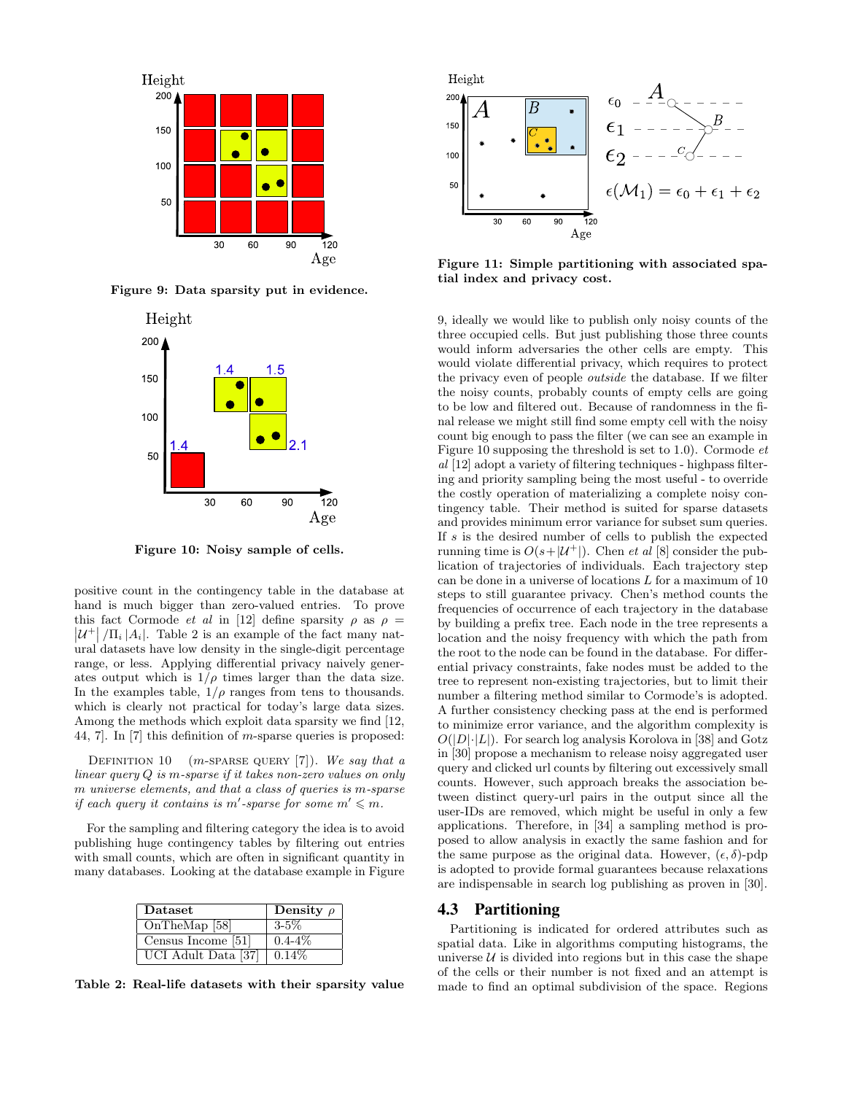

Figure 9: Data sparsity put in evidence.



Figure 10: Noisy sample of cells.

positive count in the contingency table in the database at hand is much bigger than zero-valued entries. To prove  $|\mathcal{U}^+|/\Pi_i |\mathcal{A}_i|$ . Table 2 is an example of the fact many natthis fact Cormode *et al* in [12] define sparsity  $\rho$  as  $\rho =$ ural datasets have low density in the single-digit percentage range, or less. Applying differential privacy naively generates output which is  $1/\rho$  times larger than the data size. In the examples table,  $1/\rho$  ranges from tens to thousands. which is clearly not practical for today's large data sizes. Among the methods which exploit data sparsity we find [12, 44, 7]. In [7] this definition of m-sparse queries is proposed:

DEFINITION 10  $(m\text{-spARSE Query } [7])$ . We say that a linear query Q is m-sparse if it takes non-zero values on only m universe elements, and that a class of queries is m-sparse if each query it contains is m'-sparse for some  $m' \leq m$ .

For the sampling and filtering category the idea is to avoid publishing huge contingency tables by filtering out entries with small counts, which are often in significant quantity in many databases. Looking at the database example in Figure

| Dataset             | Density $\rho$ |
|---------------------|----------------|
| OnTheMap [58]       | $3 - 5\%$      |
| Census Income [51]  | $0.4 - 4\%$    |
| UCI Adult Data [37] | $0.14\%$       |

Table 2: Real-life datasets with their sparsity value



Figure 11: Simple partitioning with associated spatial index and privacy cost.

9, ideally we would like to publish only noisy counts of the three occupied cells. But just publishing those three counts would inform adversaries the other cells are empty. This would violate differential privacy, which requires to protect the privacy even of people outside the database. If we filter the noisy counts, probably counts of empty cells are going to be low and filtered out. Because of randomness in the final release we might still find some empty cell with the noisy count big enough to pass the filter (we can see an example in Figure 10 supposing the threshold is set to 1.0). Cormode et al [12] adopt a variety of filtering techniques - highpass filtering and priority sampling being the most useful - to override the costly operation of materializing a complete noisy contingency table. Their method is suited for sparse datasets and provides minimum error variance for subset sum queries. If s is the desired number of cells to publish the expected running time is  $O(s+|U^+|)$ . Chen *et al* [8] consider the publication of trajectories of individuals. Each trajectory step can be done in a universe of locations L for a maximum of 10 steps to still guarantee privacy. Chen's method counts the frequencies of occurrence of each trajectory in the database by building a prefix tree. Each node in the tree represents a location and the noisy frequency with which the path from the root to the node can be found in the database. For differential privacy constraints, fake nodes must be added to the tree to represent non-existing trajectories, but to limit their number a filtering method similar to Cormode's is adopted. A further consistency checking pass at the end is performed to minimize error variance, and the algorithm complexity is  $O(|D|\cdot|L|)$ . For search log analysis Korolova in [38] and Gotz in [30] propose a mechanism to release noisy aggregated user query and clicked url counts by filtering out excessively small counts. However, such approach breaks the association between distinct query-url pairs in the output since all the user-IDs are removed, which might be useful in only a few applications. Therefore, in [34] a sampling method is proposed to allow analysis in exactly the same fashion and for the same purpose as the original data. However,  $(\epsilon, \delta)$ -pdp is adopted to provide formal guarantees because relaxations are indispensable in search log publishing as proven in [30].

## 4.3 Partitioning

Partitioning is indicated for ordered attributes such as spatial data. Like in algorithms computing histograms, the universe  $U$  is divided into regions but in this case the shape of the cells or their number is not fixed and an attempt is made to find an optimal subdivision of the space. Regions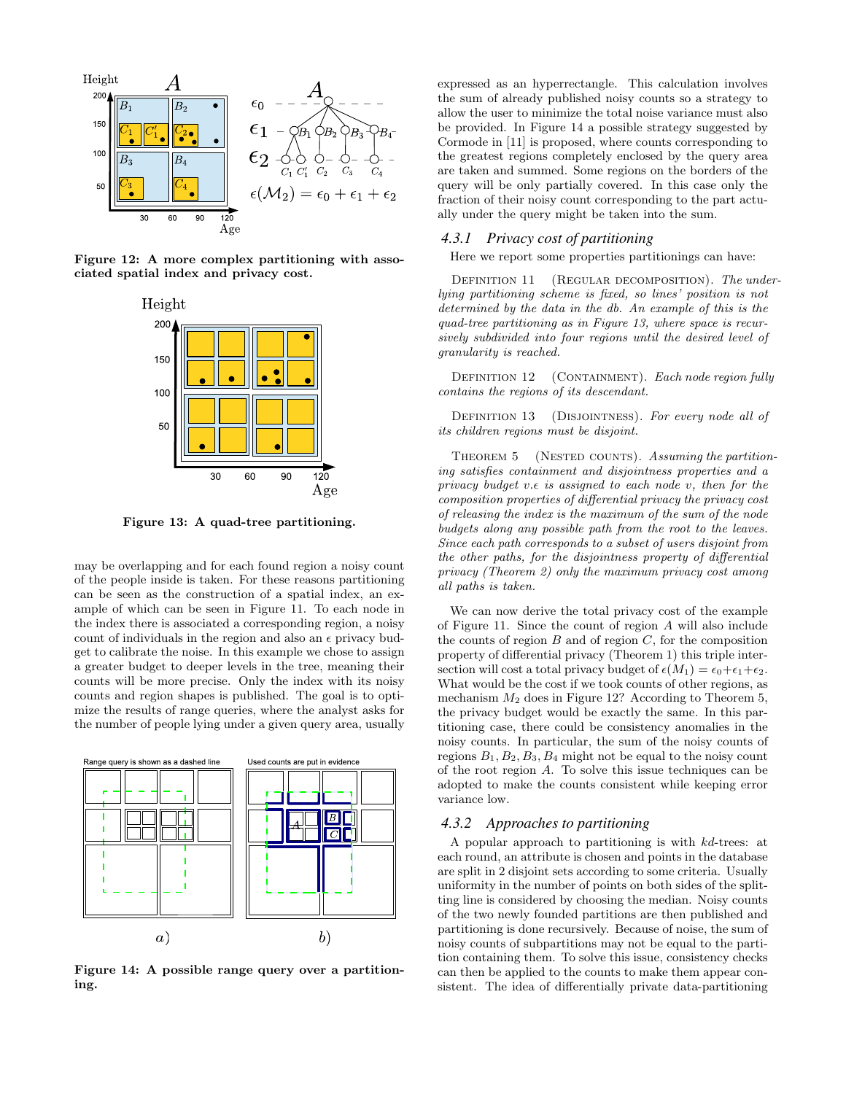

Figure 12: A more complex partitioning with associated spatial index and privacy cost.



Figure 13: A quad-tree partitioning.

may be overlapping and for each found region a noisy count of the people inside is taken. For these reasons partitioning can be seen as the construction of a spatial index, an example of which can be seen in Figure 11. To each node in the index there is associated a corresponding region, a noisy count of individuals in the region and also an  $\epsilon$  privacy budget to calibrate the noise. In this example we chose to assign a greater budget to deeper levels in the tree, meaning their counts will be more precise. Only the index with its noisy counts and region shapes is published. The goal is to optimize the results of range queries, where the analyst asks for the number of people lying under a given query area, usually



Figure 14: A possible range query over a partitioning.

expressed as an hyperrectangle. This calculation involves the sum of already published noisy counts so a strategy to allow the user to minimize the total noise variance must also be provided. In Figure 14 a possible strategy suggested by Cormode in [11] is proposed, where counts corresponding to the greatest regions completely enclosed by the query area are taken and summed. Some regions on the borders of the query will be only partially covered. In this case only the fraction of their noisy count corresponding to the part actually under the query might be taken into the sum.

#### *4.3.1 Privacy cost of partitioning*

Here we report some properties partitionings can have:

DEFINITION 11 (REGULAR DECOMPOSITION). The underlying partitioning scheme is fixed, so lines' position is not determined by the data in the db. An example of this is the quad-tree partitioning as in Figure 13, where space is recursively subdivided into four regions until the desired level of granularity is reached.

DEFINITION 12 (CONTAINMENT). Each node region fully contains the regions of its descendant.

DEFINITION 13 (DISJOINTNESS). For every node all of its children regions must be disjoint.

THEOREM 5 (NESTED COUNTS). Assuming the partitioning satisfies containment and disjointness properties and a privacy budget  $v.\epsilon$  is assigned to each node v, then for the composition properties of differential privacy the privacy cost of releasing the index is the maximum of the sum of the node budgets along any possible path from the root to the leaves. Since each path corresponds to a subset of users disjoint from the other paths, for the disjointness property of differential privacy (Theorem 2) only the maximum privacy cost among all paths is taken.

We can now derive the total privacy cost of the example of Figure 11. Since the count of region A will also include the counts of region  $B$  and of region  $C$ , for the composition property of differential privacy (Theorem 1) this triple intersection will cost a total privacy budget of  $\epsilon(M_1) = \epsilon_0 + \epsilon_1 + \epsilon_2$ . What would be the cost if we took counts of other regions, as mechanism  $M_2$  does in Figure 12? According to Theorem 5, the privacy budget would be exactly the same. In this partitioning case, there could be consistency anomalies in the noisy counts. In particular, the sum of the noisy counts of regions  $B_1, B_2, B_3, B_4$  might not be equal to the noisy count of the root region A. To solve this issue techniques can be adopted to make the counts consistent while keeping error variance low.

#### *4.3.2 Approaches to partitioning*

A popular approach to partitioning is with kd-trees: at each round, an attribute is chosen and points in the database are split in 2 disjoint sets according to some criteria. Usually uniformity in the number of points on both sides of the splitting line is considered by choosing the median. Noisy counts of the two newly founded partitions are then published and partitioning is done recursively. Because of noise, the sum of noisy counts of subpartitions may not be equal to the partition containing them. To solve this issue, consistency checks can then be applied to the counts to make them appear consistent. The idea of differentially private data-partitioning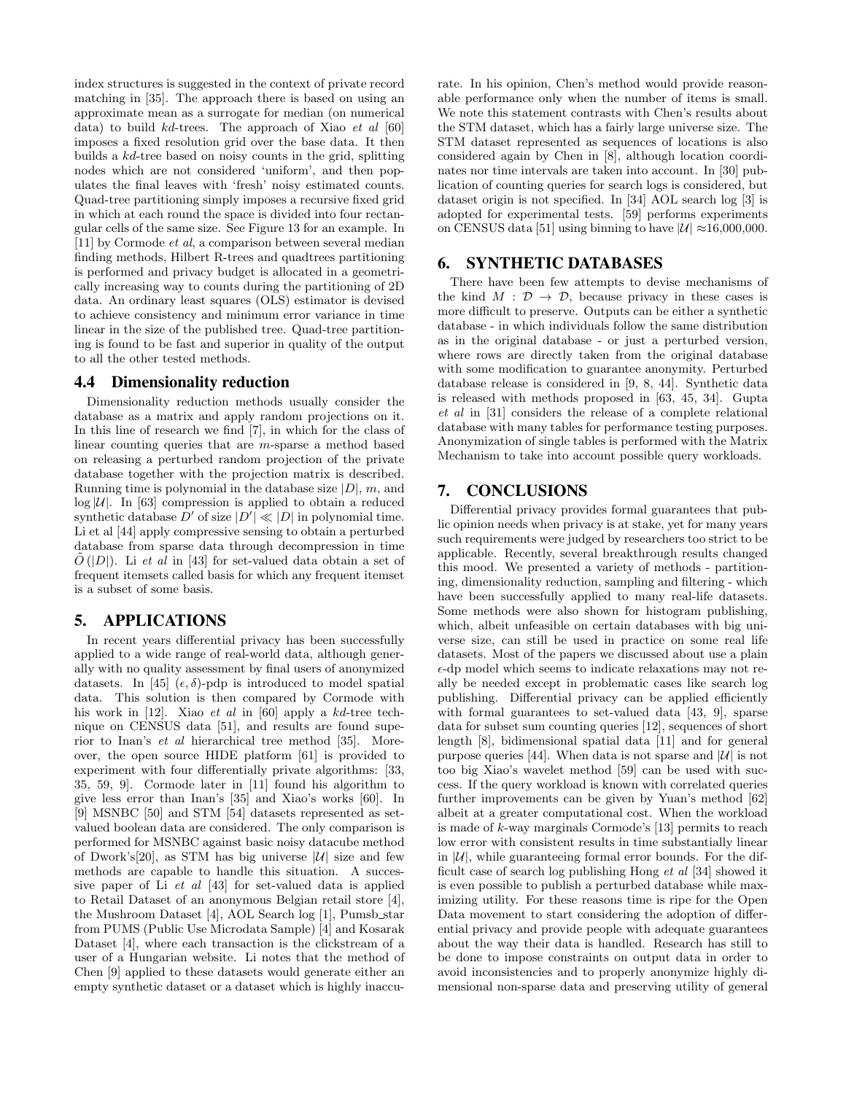index structures is suggested in the context of private record matching in [35]. The approach there is based on using an approximate mean as a surrogate for median (on numerical data) to build  $kd$ -trees. The approach of Xiao et al [60] imposes a fixed resolution grid over the base data. It then builds a kd-tree based on noisy counts in the grid, splitting nodes which are not considered 'uniform', and then populates the final leaves with 'fresh' noisy estimated counts. Quad-tree partitioning simply imposes a recursive fixed grid in which at each round the space is divided into four rectangular cells of the same size. See Figure 13 for an example. In [11] by Cormode et al, a comparison between several median finding methods, Hilbert R-trees and quadtrees partitioning is performed and privacy budget is allocated in a geometrically increasing way to counts during the partitioning of 2D data. An ordinary least squares (OLS) estimator is devised to achieve consistency and minimum error variance in time linear in the size of the published tree. Quad-tree partitioning is found to be fast and superior in quality of the output to all the other tested methods.

#### 4.4 Dimensionality reduction

Dimensionality reduction methods usually consider the database as a matrix and apply random projections on it. In this line of research we find [7], in which for the class of linear counting queries that are m-sparse a method based on releasing a perturbed random projection of the private database together with the projection matrix is described. Running time is polynomial in the database size  $|D|$ , m, and  $log |\mathcal{U}|$ . In [63] compression is applied to obtain a reduced synthetic database  $\overline{D}'$  of size  $|D'| \ll |D|$  in polynomial time. Li et al [44] apply compressive sensing to obtain a perturbed database from sparse data through decompression in time  $\overline{O}(|D|)$ . Li et al in [43] for set-valued data obtain a set of frequent itemsets called basis for which any frequent itemset is a subset of some basis.

## 5. APPLICATIONS

In recent years differential privacy has been successfully applied to a wide range of real-world data, although generally with no quality assessment by final users of anonymized datasets. In [45]  $(\epsilon, \delta)$ -pdp is introduced to model spatial data. This solution is then compared by Cormode with his work in [12]. Xiao *et al* in [60] apply a kd-tree technique on CENSUS data [51], and results are found superior to Inan's et al hierarchical tree method [35]. Moreover, the open source HIDE platform [61] is provided to experiment with four differentially private algorithms: [33, 35, 59, 9]. Cormode later in [11] found his algorithm to give less error than Inan's [35] and Xiao's works [60]. In [9] MSNBC [50] and STM [54] datasets represented as setvalued boolean data are considered. The only comparison is performed for MSNBC against basic noisy datacube method of Dwork's[20], as STM has big universe  $|\mathcal{U}|$  size and few methods are capable to handle this situation. A successive paper of Li et al [43] for set-valued data is applied to Retail Dataset of an anonymous Belgian retail store [4], the Mushroom Dataset [4], AOL Search log [1], Pumsb\_star from PUMS (Public Use Microdata Sample) [4] and Kosarak Dataset [4], where each transaction is the clickstream of a user of a Hungarian website. Li notes that the method of Chen [9] applied to these datasets would generate either an empty synthetic dataset or a dataset which is highly inaccurate. In his opinion, Chen's method would provide reasonable performance only when the number of items is small. We note this statement contrasts with Chen's results about the STM dataset, which has a fairly large universe size. The STM dataset represented as sequences of locations is also considered again by Chen in [8], although location coordinates nor time intervals are taken into account. In [30] publication of counting queries for search logs is considered, but dataset origin is not specified. In [34] AOL search log [3] is adopted for experimental tests. [59] performs experiments on CENSUS data [51] using binning to have  $|\mathcal{U}| \approx 16,000,000$ .

## 6. SYNTHETIC DATABASES

There have been few attempts to devise mechanisms of the kind  $M : \mathcal{D} \to \mathcal{D}$ , because privacy in these cases is more difficult to preserve. Outputs can be either a synthetic database - in which individuals follow the same distribution as in the original database - or just a perturbed version, where rows are directly taken from the original database with some modification to guarantee anonymity. Perturbed database release is considered in [9, 8, 44]. Synthetic data is released with methods proposed in [63, 45, 34]. Gupta et al in [31] considers the release of a complete relational database with many tables for performance testing purposes. Anonymization of single tables is performed with the Matrix Mechanism to take into account possible query workloads.

## 7. CONCLUSIONS

Differential privacy provides formal guarantees that public opinion needs when privacy is at stake, yet for many years such requirements were judged by researchers too strict to be applicable. Recently, several breakthrough results changed this mood. We presented a variety of methods - partitioning, dimensionality reduction, sampling and filtering - which have been successfully applied to many real-life datasets. Some methods were also shown for histogram publishing, which, albeit unfeasible on certain databases with big universe size, can still be used in practice on some real life datasets. Most of the papers we discussed about use a plain  $\epsilon$ -dp model which seems to indicate relaxations may not really be needed except in problematic cases like search log publishing. Differential privacy can be applied efficiently with formal guarantees to set-valued data [43, 9], sparse data for subset sum counting queries [12], sequences of short length [8], bidimensional spatial data [11] and for general purpose queries [44]. When data is not sparse and  $|\mathcal{U}|$  is not too big Xiao's wavelet method [59] can be used with success. If the query workload is known with correlated queries further improvements can be given by Yuan's method [62] albeit at a greater computational cost. When the workload is made of k-way marginals Cormode's [13] permits to reach low error with consistent results in time substantially linear in  $|\mathcal{U}|$ , while guaranteeing formal error bounds. For the difficult case of search log publishing Hong et al [34] showed it is even possible to publish a perturbed database while maximizing utility. For these reasons time is ripe for the Open Data movement to start considering the adoption of differential privacy and provide people with adequate guarantees about the way their data is handled. Research has still to be done to impose constraints on output data in order to avoid inconsistencies and to properly anonymize highly dimensional non-sparse data and preserving utility of general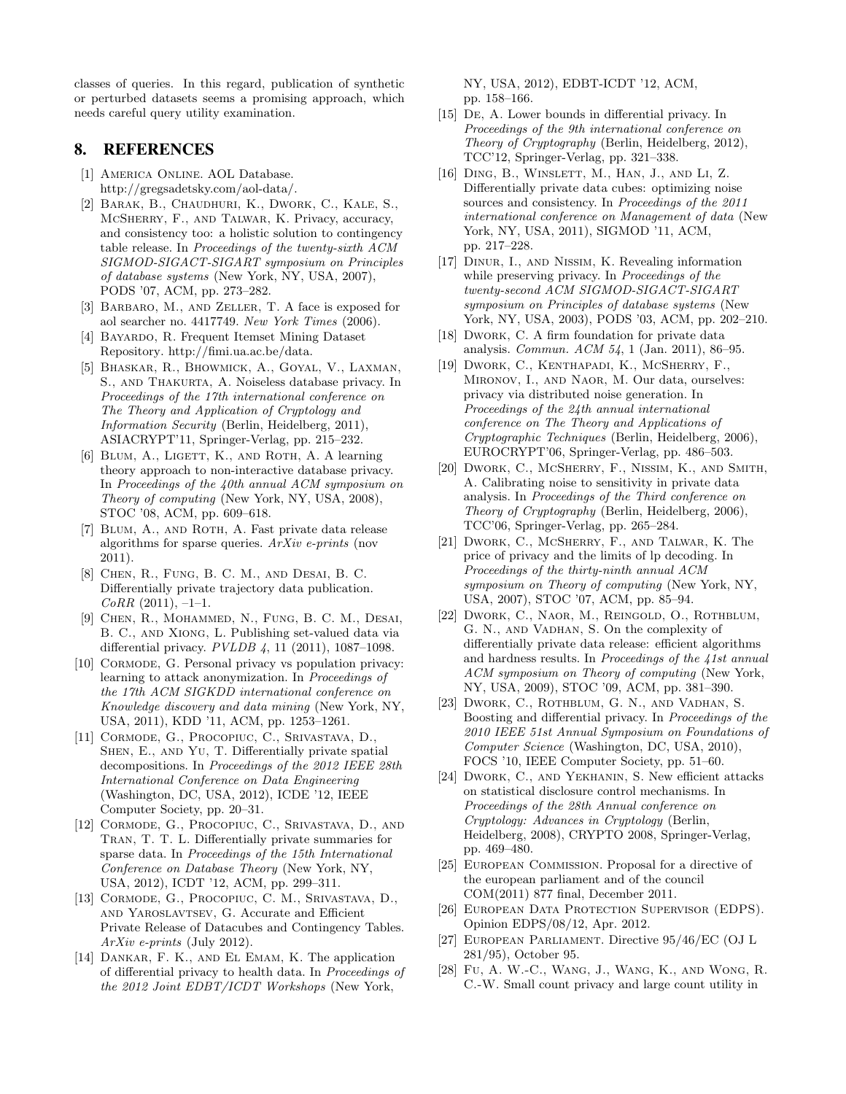classes of queries. In this regard, publication of synthetic or perturbed datasets seems a promising approach, which needs careful query utility examination.

## 8. REFERENCES

- [1] America Online. AOL Database. http://gregsadetsky.com/aol-data/.
- [2] Barak, B., Chaudhuri, K., Dwork, C., Kale, S., McSherry, F., and Talwar, K. Privacy, accuracy, and consistency too: a holistic solution to contingency table release. In Proceedings of the twenty-sixth ACM SIGMOD-SIGACT-SIGART symposium on Principles of database systems (New York, NY, USA, 2007), PODS '07, ACM, pp. 273–282.
- [3] BARBARO, M., AND ZELLER, T. A face is exposed for aol searcher no. 4417749. New York Times (2006).
- [4] BAYARDO, R. Frequent Itemset Mining Dataset Repository. http://fimi.ua.ac.be/data.
- [5] Bhaskar, R., Bhowmick, A., Goyal, V., Laxman, S., and Thakurta, A. Noiseless database privacy. In Proceedings of the 17th international conference on The Theory and Application of Cryptology and Information Security (Berlin, Heidelberg, 2011), ASIACRYPT'11, Springer-Verlag, pp. 215–232.
- [6] BLUM, A., LIGETT, K., AND ROTH, A. A learning theory approach to non-interactive database privacy. In Proceedings of the 40th annual ACM symposium on Theory of computing (New York, NY, USA, 2008), STOC '08, ACM, pp. 609–618.
- [7] BLUM, A., AND ROTH, A. Fast private data release algorithms for sparse queries.  $ArXiv$  e-prints (nov 2011).
- [8] Chen, R., Fung, B. C. M., and Desai, B. C. Differentially private trajectory data publication.  $CoRR$  (2011),  $-1-1$ .
- [9] CHEN, R., MOHAMMED, N., FUNG, B. C. M., DESAI, B. C., and Xiong, L. Publishing set-valued data via differential privacy. PVLDB 4, 11 (2011), 1087–1098.
- [10] CORMODE, G. Personal privacy vs population privacy: learning to attack anonymization. In Proceedings of the 17th ACM SIGKDD international conference on Knowledge discovery and data mining (New York, NY, USA, 2011), KDD '11, ACM, pp. 1253–1261.
- [11] Cormode, G., Procopiuc, C., Srivastava, D., Shen, E., and Yu, T. Differentially private spatial decompositions. In Proceedings of the 2012 IEEE 28th International Conference on Data Engineering (Washington, DC, USA, 2012), ICDE '12, IEEE Computer Society, pp. 20–31.
- [12] Cormode, G., Procopiuc, C., Srivastava, D., and Tran, T. T. L. Differentially private summaries for sparse data. In Proceedings of the 15th International Conference on Database Theory (New York, NY, USA, 2012), ICDT '12, ACM, pp. 299–311.
- [13] Cormode, G., Procopiuc, C. M., Srivastava, D., and Yaroslavtsev, G. Accurate and Efficient Private Release of Datacubes and Contingency Tables. ArXiv e-prints (July 2012).
- [14] Dankar, F. K., and El Emam, K. The application of differential privacy to health data. In Proceedings of the 2012 Joint EDBT/ICDT Workshops (New York,

NY, USA, 2012), EDBT-ICDT '12, ACM, pp. 158–166.

- [15] De, A. Lower bounds in differential privacy. In Proceedings of the 9th international conference on Theory of Cryptography (Berlin, Heidelberg, 2012), TCC'12, Springer-Verlag, pp. 321–338.
- [16] Ding, B., Winslett, M., Han, J., and Li, Z. Differentially private data cubes: optimizing noise sources and consistency. In Proceedings of the 2011 international conference on Management of data (New York, NY, USA, 2011), SIGMOD '11, ACM, pp. 217–228.
- [17] Dinur, I., and Nissim, K. Revealing information while preserving privacy. In *Proceedings of the* twenty-second ACM SIGMOD-SIGACT-SIGART symposium on Principles of database systems (New York, NY, USA, 2003), PODS '03, ACM, pp. 202–210.
- [18] DWORK, C. A firm foundation for private data analysis. Commun. ACM 54, 1 (Jan. 2011), 86–95.
- [19] Dwork, C., Kenthapadi, K., McSherry, F., Mironov, I., and Naor, M. Our data, ourselves: privacy via distributed noise generation. In Proceedings of the 24th annual international conference on The Theory and Applications of Cryptographic Techniques (Berlin, Heidelberg, 2006), EUROCRYPT'06, Springer-Verlag, pp. 486–503.
- [20] Dwork, C., McSherry, F., Nissim, K., and Smith, A. Calibrating noise to sensitivity in private data analysis. In Proceedings of the Third conference on Theory of Cryptography (Berlin, Heidelberg, 2006), TCC'06, Springer-Verlag, pp. 265–284.
- [21] Dwork, C., McSherry, F., and Talwar, K. The price of privacy and the limits of lp decoding. In Proceedings of the thirty-ninth annual ACM symposium on Theory of computing (New York, NY, USA, 2007), STOC '07, ACM, pp. 85–94.
- [22] DWORK, C., NAOR, M., REINGOLD, O., ROTHBLUM, G. N., and Vadhan, S. On the complexity of differentially private data release: efficient algorithms and hardness results. In Proceedings of the 41st annual ACM symposium on Theory of computing (New York, NY, USA, 2009), STOC '09, ACM, pp. 381–390.
- [23] DWORK, C., ROTHBLUM, G. N., AND VADHAN, S. Boosting and differential privacy. In Proceedings of the 2010 IEEE 51st Annual Symposium on Foundations of Computer Science (Washington, DC, USA, 2010), FOCS '10, IEEE Computer Society, pp. 51–60.
- [24] Dwork, C., and Yekhanin, S. New efficient attacks on statistical disclosure control mechanisms. In Proceedings of the 28th Annual conference on Cryptology: Advances in Cryptology (Berlin, Heidelberg, 2008), CRYPTO 2008, Springer-Verlag, pp. 469–480.
- [25] European Commission. Proposal for a directive of the european parliament and of the council COM(2011) 877 final, December 2011.
- [26] EUROPEAN DATA PROTECTION SUPERVISOR (EDPS). Opinion EDPS/08/12, Apr. 2012.
- [27] European Parliament. Directive 95/46/EC (OJ L 281/95), October 95.
- [28] Fu, A. W.-C., Wang, J., Wang, K., and Wong, R. C.-W. Small count privacy and large count utility in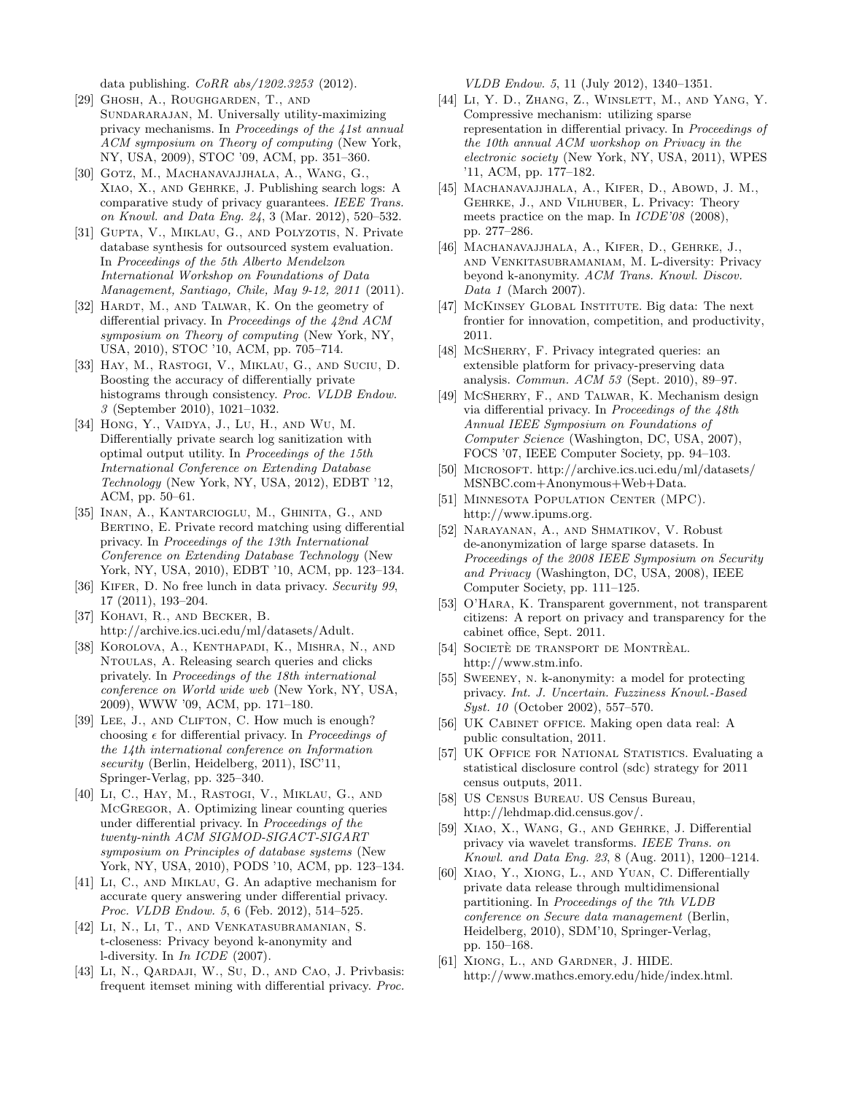data publishing. CoRR abs/1202.3253 (2012).

- [29] Ghosh, A., Roughgarden, T., and Sundararajan, M. Universally utility-maximizing privacy mechanisms. In Proceedings of the 41st annual ACM symposium on Theory of computing (New York, NY, USA, 2009), STOC '09, ACM, pp. 351–360.
- [30] Gotz, M., Machanavajjhala, A., Wang, G., Xiao, X., and Gehrke, J. Publishing search logs: A comparative study of privacy guarantees. IEEE Trans. on Knowl. and Data Eng. 24, 3 (Mar. 2012), 520–532.
- [31] GUPTA, V., MIKLAU, G., AND POLYZOTIS, N. Private database synthesis for outsourced system evaluation. In Proceedings of the 5th Alberto Mendelzon International Workshop on Foundations of Data Management, Santiago, Chile, May 9-12, 2011 (2011).
- [32] HARDT, M., AND TALWAR, K. On the geometry of differential privacy. In Proceedings of the 42nd ACM symposium on Theory of computing (New York, NY, USA, 2010), STOC '10, ACM, pp. 705–714.
- [33] Hay, M., Rastogi, V., Miklau, G., and Suciu, D. Boosting the accuracy of differentially private histograms through consistency. Proc. VLDB Endow. 3 (September 2010), 1021–1032.
- [34] Hong, Y., Vaidya, J., Lu, H., and Wu, M. Differentially private search log sanitization with optimal output utility. In Proceedings of the 15th International Conference on Extending Database Technology (New York, NY, USA, 2012), EDBT '12, ACM, pp. 50–61.
- [35] Inan, A., Kantarcioglu, M., Ghinita, G., and BERTINO, E. Private record matching using differential privacy. In Proceedings of the 13th International Conference on Extending Database Technology (New York, NY, USA, 2010), EDBT '10, ACM, pp. 123–134.
- [36] KIFER, D. No free lunch in data privacy. Security 99, 17 (2011), 193–204.
- [37] Kohavi, R., and Becker, B. http://archive.ics.uci.edu/ml/datasets/Adult.
- [38] Korolova, A., Kenthapadi, K., Mishra, N., and Ntoulas, A. Releasing search queries and clicks privately. In Proceedings of the 18th international conference on World wide web (New York, NY, USA, 2009), WWW '09, ACM, pp. 171–180.
- [39] LEE, J., AND CLIFTON, C. How much is enough? choosing  $\epsilon$  for differential privacy. In *Proceedings of* the 14th international conference on Information security (Berlin, Heidelberg, 2011), ISC'11, Springer-Verlag, pp. 325–340.
- [40] Li, C., Hay, M., Rastogi, V., Miklau, G., and McGregor, A. Optimizing linear counting queries under differential privacy. In Proceedings of the twenty-ninth ACM SIGMOD-SIGACT-SIGART symposium on Principles of database systems (New York, NY, USA, 2010), PODS '10, ACM, pp. 123–134.
- [41] Li, C., AND MIKLAU, G. An adaptive mechanism for accurate query answering under differential privacy. Proc. VLDB Endow. 5, 6 (Feb. 2012), 514-525.
- [42] Li, N., Li, T., and Venkatasubramanian, S. t-closeness: Privacy beyond k-anonymity and l-diversity. In  $In~ICDE~(2007)$ .
- [43] LI, N., QARDAJI, W., SU, D., AND CAO, J. Privbasis: frequent itemset mining with differential privacy. Proc.

VLDB Endow. 5, 11 (July 2012), 1340–1351.

- [44] LI, Y. D., ZHANG, Z., WINSLETT, M., AND YANG, Y. Compressive mechanism: utilizing sparse representation in differential privacy. In Proceedings of the 10th annual ACM workshop on Privacy in the electronic society (New York, NY, USA, 2011), WPES '11, ACM, pp. 177–182.
- [45] MACHANAVAJJHALA, A., KIFER, D., ABOWD, J. M., Gehrke, J., and Vilhuber, L. Privacy: Theory meets practice on the map. In *ICDE'08* (2008), pp. 277–286.
- [46] MACHANAVAJJHALA, A., KIFER, D., GEHRKE, J., and Venkitasubramaniam, M. L-diversity: Privacy beyond k-anonymity. ACM Trans. Knowl. Discov. Data 1 (March 2007).
- [47] McKINSEY GLOBAL INSTITUTE. Big data: The next frontier for innovation, competition, and productivity, 2011.
- [48] MCSHERRY, F. Privacy integrated queries: an extensible platform for privacy-preserving data analysis. Commun. ACM 53 (Sept. 2010), 89–97.
- [49] McSherry, F., and Talwar, K. Mechanism design via differential privacy. In Proceedings of the 48th Annual IEEE Symposium on Foundations of Computer Science (Washington, DC, USA, 2007), FOCS '07, IEEE Computer Society, pp. 94–103.
- [50] MICROSOFT. http://archive.ics.uci.edu/ml/datasets/ MSNBC.com+Anonymous+Web+Data.
- [51] Minnesota Population Center (MPC). http://www.ipums.org.
- [52] Narayanan, A., and Shmatikov, V. Robust de-anonymization of large sparse datasets. In Proceedings of the 2008 IEEE Symposium on Security and Privacy (Washington, DC, USA, 2008), IEEE Computer Society, pp. 111–125.
- [53] O'Hara, K. Transparent government, not transparent citizens: A report on privacy and transparency for the cabinet office, Sept. 2011.
- [54] SOCIETE DE TRANSPORT DE MONTREAL. http://www.stm.info.
- [55] Sweeney, n. k-anonymity: a model for protecting privacy. Int. J. Uncertain. Fuzziness Knowl.-Based Syst. 10 (October 2002), 557–570.
- [56] UK Cabinet office. Making open data real: A public consultation, 2011.
- [57] UK OFFICE FOR NATIONAL STATISTICS. Evaluating a statistical disclosure control (sdc) strategy for 2011 census outputs, 2011.
- [58] US Census Bureau. US Census Bureau, http://lehdmap.did.census.gov/.
- [59] Xiao, X., Wang, G., and Gehrke, J. Differential privacy via wavelet transforms. IEEE Trans. on Knowl. and Data Eng. 23, 8 (Aug. 2011), 1200–1214.
- [60] XIAO, Y., XIONG, L., AND YUAN, C. Differentially private data release through multidimensional partitioning. In Proceedings of the 7th VLDB conference on Secure data management (Berlin, Heidelberg, 2010), SDM'10, Springer-Verlag, pp. 150–168.
- [61] Xiong, L., and Gardner, J. HIDE. http://www.mathcs.emory.edu/hide/index.html.